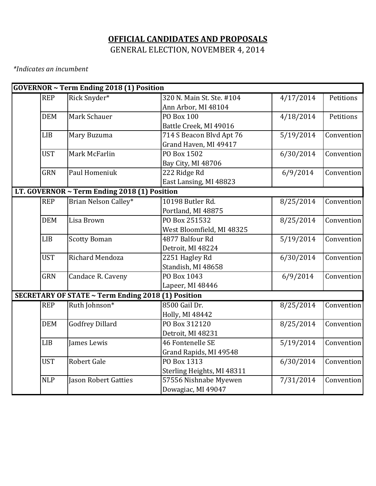# **OFFICIAL CANDIDATES AND PROPOSALS** GENERAL ELECTION, NOVEMBER 4, 2014

*\*Indicates an incumbent*

|            | <b>GOVERNOR ~ Term Ending 2018 (1) Position</b>    |                            |           |            |
|------------|----------------------------------------------------|----------------------------|-----------|------------|
| <b>REP</b> | Rick Snyder*                                       | 320 N. Main St. Ste. #104  | 4/17/2014 | Petitions  |
|            |                                                    | Ann Arbor, MI 48104        |           |            |
| <b>DEM</b> | Mark Schauer                                       | <b>PO Box 100</b>          | 4/18/2014 | Petitions  |
|            |                                                    | Battle Creek, MI 49016     |           |            |
| <b>LIB</b> | Mary Buzuma                                        | 714 S Beacon Blvd Apt 76   | 5/19/2014 | Convention |
|            |                                                    | Grand Haven, MI 49417      |           |            |
| <b>UST</b> | Mark McFarlin                                      | PO Box 1502                | 6/30/2014 | Convention |
|            |                                                    | Bay City, MI 48706         |           |            |
| <b>GRN</b> | Paul Homeniuk                                      | 222 Ridge Rd               | 6/9/2014  | Convention |
|            |                                                    | East Lansing, MI 48823     |           |            |
|            | LT. GOVERNOR ~ Term Ending 2018 (1) Position       |                            |           |            |
| <b>REP</b> | Brian Nelson Calley*                               | 10198 Butler Rd.           | 8/25/2014 | Convention |
|            |                                                    | Portland, MI 48875         |           |            |
| <b>DEM</b> | Lisa Brown                                         | PO Box 251532              | 8/25/2014 | Convention |
|            |                                                    | West Bloomfield, MI 48325  |           |            |
| <b>LIB</b> | <b>Scotty Boman</b>                                | 4877 Balfour Rd            | 5/19/2014 | Convention |
|            |                                                    | Detroit, MI 48224          |           |            |
| <b>UST</b> | Richard Mendoza                                    | 2251 Hagley Rd             | 6/30/2014 | Convention |
|            |                                                    | Standish, MI 48658         |           |            |
| <b>GRN</b> | Candace R. Caveny                                  | PO Box 1043                | 6/9/2014  | Convention |
|            |                                                    | Lapeer, MI 48446           |           |            |
|            | SECRETARY OF STATE ~ Term Ending 2018 (1) Position |                            |           |            |
| <b>REP</b> | Ruth Johnson*                                      | 8500 Gail Dr.              | 8/25/2014 | Convention |
|            |                                                    | Holly, MI 48442            |           |            |
| <b>DEM</b> | <b>Godfrey Dillard</b>                             | PO Box 312120              | 8/25/2014 | Convention |
|            |                                                    | Detroit, MI 48231          |           |            |
| <b>LIB</b> | James Lewis                                        | 46 Fontenelle SE           | 5/19/2014 | Convention |
|            |                                                    | Grand Rapids, MI 49548     |           |            |
| <b>UST</b> | Robert Gale                                        | PO Box 1313                | 6/30/2014 | Convention |
|            |                                                    | Sterling Heights, MI 48311 |           |            |
| <b>NLP</b> | <b>Jason Robert Gatties</b>                        | 57556 Nishnabe Myewen      | 7/31/2014 | Convention |
|            |                                                    | Dowagiac, MI 49047         |           |            |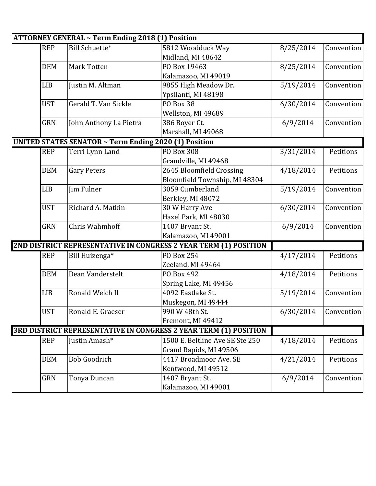|            | ATTORNEY GENERAL ~ Term Ending 2018 (1) Position      |                                                                  |           |            |
|------------|-------------------------------------------------------|------------------------------------------------------------------|-----------|------------|
| <b>REP</b> | <b>Bill Schuette*</b>                                 | 5812 Woodduck Way                                                | 8/25/2014 | Convention |
|            |                                                       | Midland, MI 48642                                                |           |            |
| <b>DEM</b> | Mark Totten                                           | PO Box 19463                                                     | 8/25/2014 | Convention |
|            |                                                       | Kalamazoo, MI 49019                                              |           |            |
| <b>LIB</b> | Justin M. Altman                                      | 9855 High Meadow Dr.                                             | 5/19/2014 | Convention |
|            |                                                       | Ypsilanti, MI 48198                                              |           |            |
| <b>UST</b> | Gerald T. Van Sickle                                  | <b>PO Box 38</b>                                                 | 6/30/2014 | Convention |
|            |                                                       | Wellston, MI 49689                                               |           |            |
| <b>GRN</b> | John Anthony La Pietra                                | 386 Boyer Ct.                                                    | 6/9/2014  | Convention |
|            |                                                       | Marshall, MI 49068                                               |           |            |
|            | UNITED STATES SENATOR ~ Term Ending 2020 (1) Position |                                                                  |           |            |
| <b>REP</b> | Terri Lynn Land                                       | PO Box 308                                                       | 3/31/2014 | Petitions  |
|            |                                                       | Grandville, MI 49468                                             |           |            |
| <b>DEM</b> | <b>Gary Peters</b>                                    | 2645 Bloomfield Crossing                                         | 4/18/2014 | Petitions  |
|            |                                                       | Bloomfield Township, MI 48304                                    |           |            |
| <b>LIB</b> | Jim Fulner                                            | 3059 Cumberland                                                  | 5/19/2014 | Convention |
|            |                                                       | Berkley, MI 48072                                                |           |            |
| <b>UST</b> | Richard A. Matkin                                     | 30 W Harry Ave                                                   | 6/30/2014 | Convention |
|            |                                                       | Hazel Park, MI 48030                                             |           |            |
| <b>GRN</b> | Chris Wahmhoff                                        | 1407 Bryant St.                                                  | 6/9/2014  | Convention |
|            |                                                       | Kalamazoo, MI 49001                                              |           |            |
|            |                                                       | 2ND DISTRICT REPRESENTATIVE IN CONGRESS 2 YEAR TERM (1) POSITION |           |            |
| <b>REP</b> | Bill Huizenga*                                        | <b>PO Box 254</b>                                                | 4/17/2014 | Petitions  |
|            |                                                       | Zeeland, MI 49464                                                |           |            |
| <b>DEM</b> | Dean Vanderstelt                                      | PO Box 492                                                       | 4/18/2014 | Petitions  |
|            |                                                       | Spring Lake, MI 49456                                            |           |            |
| <b>LIB</b> | Ronald Welch II                                       | 4092 Eastlake St.                                                | 5/19/2014 | Convention |
|            |                                                       | Muskegon, MI 49444                                               |           |            |
| <b>UST</b> | Ronald E. Graeser                                     | 990 W 48th St.                                                   | 6/30/2014 | Convention |
|            |                                                       | Fremont, MI 49412                                                |           |            |
|            |                                                       | 3RD DISTRICT REPRESENTATIVE IN CONGRESS 2 YEAR TERM (1) POSITION |           |            |
| <b>REP</b> | Justin Amash <sup>*</sup>                             | 1500 E. Beltline Ave SE Ste 250                                  | 4/18/2014 | Petitions  |
|            |                                                       | Grand Rapids, MI 49506                                           |           |            |
| <b>DEM</b> | <b>Bob Goodrich</b>                                   | 4417 Broadmoor Ave. SE                                           | 4/21/2014 | Petitions  |
|            |                                                       | Kentwood, MI 49512                                               |           |            |
| <b>GRN</b> | Tonya Duncan                                          | 1407 Bryant St.                                                  | 6/9/2014  | Convention |
|            |                                                       | Kalamazoo, MI 49001                                              |           |            |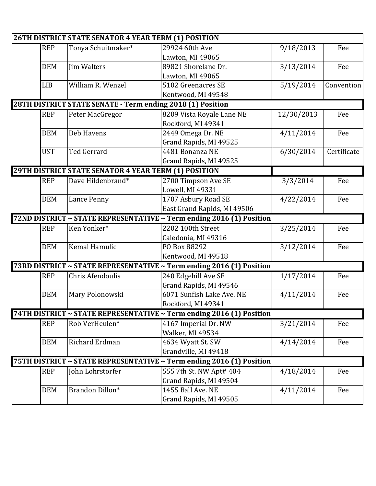|            | <b>26TH DISTRICT STATE SENATOR 4 YEAR TERM (1) POSITION</b> |                                                                      |            |             |
|------------|-------------------------------------------------------------|----------------------------------------------------------------------|------------|-------------|
| <b>REP</b> | Tonya Schuitmaker*                                          | 29924 60th Ave                                                       | 9/18/2013  | Fee         |
|            |                                                             | Lawton, MI 49065                                                     |            |             |
| <b>DEM</b> | <b>Jim Walters</b>                                          | 89821 Shorelane Dr.                                                  | 3/13/2014  | Fee         |
|            |                                                             | Lawton, MI 49065                                                     |            |             |
| <b>LIB</b> | William R. Wenzel                                           | 5102 Greenacres SE                                                   | 5/19/2014  | Convention  |
|            |                                                             | Kentwood, MI 49548                                                   |            |             |
|            |                                                             | 28TH DISTRICT STATE SENATE - Term ending 2018 (1) Position           |            |             |
| <b>REP</b> | Peter MacGregor                                             | 8209 Vista Royale Lane NE                                            | 12/30/2013 | Fee         |
|            |                                                             | Rockford, MI 49341                                                   |            |             |
| <b>DEM</b> | Deb Havens                                                  | 2449 Omega Dr. NE                                                    | 4/11/2014  | Fee         |
|            |                                                             | Grand Rapids, MI 49525                                               |            |             |
| <b>UST</b> | Ted Gerrard                                                 | 4481 Bonanza NE                                                      | 6/30/2014  | Certificate |
|            |                                                             | Grand Rapids, MI 49525                                               |            |             |
|            | <b>29TH DISTRICT STATE SENATOR 4 YEAR TERM (1) POSITION</b> |                                                                      |            |             |
| <b>REP</b> | Dave Hildenbrand*                                           | 2700 Timpson Ave SE                                                  | 3/3/2014   | Fee         |
|            |                                                             | Lowell, MI 49331                                                     |            |             |
| <b>DEM</b> | Lance Penny                                                 | 1707 Asbury Road SE                                                  | 4/22/2014  | Fee         |
|            |                                                             | East Grand Rapids, MI 49506                                          |            |             |
|            |                                                             | 72ND DISTRICT ~ STATE REPRESENTATIVE ~ Term ending 2016 (1) Position |            |             |
| <b>REP</b> | Ken Yonker*                                                 | 2202 100th Street                                                    | 3/25/2014  | Fee         |
|            |                                                             | Caledonia, MI 49316                                                  |            |             |
| <b>DEM</b> | Kemal Hamulic                                               | PO Box 88292                                                         | 3/12/2014  | Fee         |
|            |                                                             | Kentwood, MI 49518                                                   |            |             |
|            |                                                             | 73RD DISTRICT ~ STATE REPRESENTATIVE ~ Term ending 2016 (1) Position |            |             |
| <b>REP</b> | Chris Afendoulis                                            | 240 Edgehill Ave SE                                                  | 1/17/2014  | Fee         |
|            |                                                             | Grand Rapids, MI 49546                                               |            |             |
| <b>DEM</b> | Mary Polonowski                                             | 6071 Sunfish Lake Ave. NE                                            | 4/11/2014  | Fee         |
|            |                                                             | Rockford, MI 49341                                                   |            |             |
|            |                                                             | 74TH DISTRICT ~ STATE REPRESENTATIVE ~ Term ending 2016 (1) Position |            |             |
| <b>REP</b> | Rob VerHeulen*                                              | 4167 Imperial Dr. NW                                                 | 3/21/2014  | Fee         |
|            |                                                             | Walker, MI 49534                                                     |            |             |
| <b>DEM</b> | Richard Erdman                                              | 4634 Wyatt St. SW                                                    | 4/14/2014  | Fee         |
|            |                                                             | Grandville, MI 49418                                                 |            |             |
|            |                                                             | 75TH DISTRICT ~ STATE REPRESENTATIVE ~ Term ending 2016 (1) Position |            |             |
| <b>REP</b> | John Lohrstorfer                                            | 555 7th St. NW Apt# 404                                              | 4/18/2014  | Fee         |
|            |                                                             | Grand Rapids, MI 49504                                               |            |             |
| <b>DEM</b> | Brandon Dillon*                                             | 1455 Ball Ave. NE                                                    | 4/11/2014  | Fee         |
|            |                                                             | Grand Rapids, MI 49505                                               |            |             |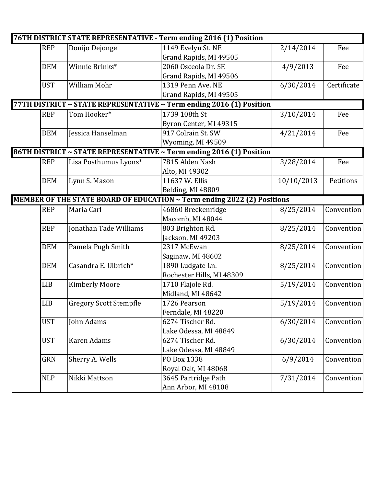|            |                               | 76TH DISTRICT STATE REPRESENTATIVE - Term ending 2016 (1) Position      |            |             |
|------------|-------------------------------|-------------------------------------------------------------------------|------------|-------------|
| <b>REP</b> | Donijo Dejonge                | 1149 Evelyn St. NE                                                      | 2/14/2014  | Fee         |
|            |                               | Grand Rapids, MI 49505                                                  |            |             |
| <b>DEM</b> | Winnie Brinks*                | 2060 Osceola Dr. SE                                                     | 4/9/2013   | Fee         |
|            |                               | Grand Rapids, MI 49506                                                  |            |             |
| <b>UST</b> | William Mohr                  | 1319 Penn Ave. NE                                                       | 6/30/2014  | Certificate |
|            |                               | Grand Rapids, MI 49505                                                  |            |             |
|            |                               | 77TH DISTRICT ~ STATE REPRESENTATIVE ~ Term ending 2016 (1) Position    |            |             |
| <b>REP</b> | Tom Hooker*                   | 1739 108th St                                                           | 3/10/2014  | Fee         |
|            |                               | Byron Center, MI 49315                                                  |            |             |
| <b>DEM</b> | Jessica Hanselman             | 917 Colrain St. SW                                                      | 4/21/2014  | Fee         |
|            |                               | Wyoming, MI 49509                                                       |            |             |
|            |                               | 86TH DISTRICT ~ STATE REPRESENTATIVE ~ Term ending 2016 (1) Position    |            |             |
| <b>REP</b> | Lisa Posthumus Lyons*         | 7815 Alden Nash                                                         | 3/28/2014  | Fee         |
|            |                               | Alto, MI 49302                                                          |            |             |
| <b>DEM</b> | Lynn S. Mason                 | 11637 W. Ellis                                                          | 10/10/2013 | Petitions   |
|            |                               | Belding, MI 48809                                                       |            |             |
|            |                               | MEMBER OF THE STATE BOARD OF EDUCATION ~ Term ending 2022 (2) Positions |            |             |
| <b>REP</b> | Maria Carl                    | 46860 Breckenridge                                                      | 8/25/2014  | Convention  |
|            |                               | Macomb, MI 48044                                                        |            |             |
| <b>REP</b> | Jonathan Tade Williams        | 803 Brighton Rd.                                                        | 8/25/2014  | Convention  |
|            |                               | Jackson, MI 49203                                                       |            |             |
| <b>DEM</b> | Pamela Pugh Smith             | 2317 McEwan                                                             | 8/25/2014  | Convention  |
|            |                               | Saginaw, MI 48602                                                       |            |             |
| <b>DEM</b> | Casandra E. Ulbrich*          | 1890 Ludgate Ln.                                                        | 8/25/2014  | Convention  |
|            |                               | Rochester Hills, MI 48309                                               |            |             |
| LIB        | <b>Kimberly Moore</b>         | 1710 Flajole Rd.                                                        | 5/19/2014  | Convention  |
|            |                               | Midland, MI 48642                                                       |            |             |
| <b>LIB</b> | <b>Gregory Scott Stempfle</b> | 1726 Pearson                                                            | 5/19/2014  | Convention  |
|            |                               | Ferndale, MI 48220                                                      |            |             |
| <b>UST</b> | John Adams                    | 6274 Tischer Rd.                                                        | 6/30/2014  | Convention  |
|            |                               | Lake Odessa, MI 48849                                                   |            |             |
| <b>UST</b> | Karen Adams                   | 6274 Tischer Rd.                                                        | 6/30/2014  | Convention  |
|            |                               | Lake Odessa, MI 48849                                                   |            |             |
| <b>GRN</b> | Sherry A. Wells               | PO Box 1338                                                             | 6/9/2014   | Convention  |
|            |                               | Royal Oak, MI 48068                                                     |            |             |
| <b>NLP</b> | Nikki Mattson                 | 3645 Partridge Path                                                     | 7/31/2014  | Convention  |
|            |                               | Ann Arbor, MI 48108                                                     |            |             |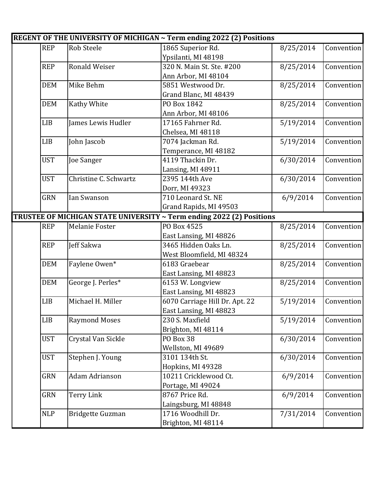|            |                         | REGENT OF THE UNIVERSITY OF MICHIGAN ~ Term ending 2022 (2) Positions |           |            |
|------------|-------------------------|-----------------------------------------------------------------------|-----------|------------|
| <b>REP</b> | <b>Rob Steele</b>       | 1865 Superior Rd.                                                     | 8/25/2014 | Convention |
|            |                         | Ypsilanti, MI 48198                                                   |           |            |
| <b>REP</b> | <b>Ronald Weiser</b>    | 320 N. Main St. Ste. #200                                             | 8/25/2014 | Convention |
|            |                         | Ann Arbor, MI 48104                                                   |           |            |
| <b>DEM</b> | Mike Behm               | 5851 Westwood Dr.                                                     | 8/25/2014 | Convention |
|            |                         | Grand Blanc, MI 48439                                                 |           |            |
| <b>DEM</b> | <b>Kathy White</b>      | PO Box 1842                                                           | 8/25/2014 | Convention |
|            |                         | Ann Arbor, MI 48106                                                   |           |            |
| <b>LIB</b> | James Lewis Hudler      | 17165 Fahrner Rd.                                                     | 5/19/2014 | Convention |
|            |                         | Chelsea, MI 48118                                                     |           |            |
| <b>LIB</b> | John Jascob             | 7074 Jackman Rd.                                                      | 5/19/2014 | Convention |
|            |                         | Temperance, MI 48182                                                  |           |            |
| <b>UST</b> | Joe Sanger              | 4119 Thackin Dr.                                                      | 6/30/2014 | Convention |
|            |                         | Lansing, MI 48911                                                     |           |            |
| <b>UST</b> | Christine C. Schwartz   | 2395 144th Ave                                                        | 6/30/2014 | Convention |
|            |                         | Dorr, MI 49323                                                        |           |            |
| <b>GRN</b> | Ian Swanson             | 710 Leonard St. NE                                                    | 6/9/2014  | Convention |
|            |                         | Grand Rapids, MI 49503                                                |           |            |
|            |                         | TRUSTEE OF MICHIGAN STATE UNIVERSITY ~ Term ending 2022 (2) Positions |           |            |
| <b>REP</b> | Melanie Foster          | PO Box 4525                                                           | 8/25/2014 | Convention |
|            |                         | East Lansing, MI 48826                                                |           |            |
| <b>REP</b> | Jeff Sakwa              | 3465 Hidden Oaks Ln.                                                  | 8/25/2014 | Convention |
|            |                         | West Bloomfield, MI 48324                                             |           |            |
| <b>DEM</b> | Faylene Owen*           | 6183 Graebear                                                         | 8/25/2014 | Convention |
|            |                         | East Lansing, MI 48823                                                |           |            |
| <b>DEM</b> | George J. Perles*       | 6153 W. Longview                                                      | 8/25/2014 | Convention |
|            |                         | East Lansing, MI 48823                                                |           |            |
| <b>LIB</b> | Michael H. Miller       | 6070 Carriage Hill Dr. Apt. 22                                        | 5/19/2014 | Convention |
|            |                         | East Lansing, MI 48823                                                |           |            |
| <b>LIB</b> | <b>Raymond Moses</b>    | 230 S. Maxfield                                                       | 5/19/2014 | Convention |
|            |                         | Brighton, MI 48114                                                    |           |            |
| <b>UST</b> | Crystal Van Sickle      | PO Box 38                                                             | 6/30/2014 | Convention |
|            |                         | Wellston, MI 49689                                                    |           |            |
| <b>UST</b> | Stephen J. Young        | 3101 134th St.                                                        | 6/30/2014 | Convention |
|            |                         | Hopkins, MI 49328                                                     |           |            |
| GRN        | Adam Adrianson          | 10211 Cricklewood Ct.                                                 | 6/9/2014  | Convention |
|            |                         | Portage, MI 49024                                                     |           |            |
| <b>GRN</b> | <b>Terry Link</b>       | 8767 Price Rd.                                                        | 6/9/2014  | Convention |
|            |                         | Laingsburg, MI 48848                                                  |           |            |
| <b>NLP</b> | <b>Bridgette Guzman</b> | 1716 Woodhill Dr.                                                     | 7/31/2014 | Convention |
|            |                         | Brighton, MI 48114                                                    |           |            |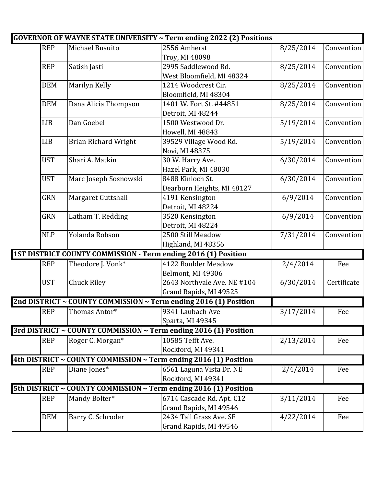|            |                             | <b>GOVERNOR OF WAYNE STATE UNIVERSITY ~ Term ending 2022 (2) Positions</b> |           |             |
|------------|-----------------------------|----------------------------------------------------------------------------|-----------|-------------|
| <b>REP</b> | Michael Busuito             | 2556 Amherst                                                               | 8/25/2014 | Convention  |
|            |                             | Troy, MI 48098                                                             |           |             |
| <b>REP</b> | Satish Jasti                | 2995 Saddlewood Rd.                                                        | 8/25/2014 | Convention  |
|            |                             | West Bloomfield, MI 48324                                                  |           |             |
| <b>DEM</b> | Marilyn Kelly               | 1214 Woodcrest Cir.                                                        | 8/25/2014 | Convention  |
|            |                             | Bloomfield, MI 48304                                                       |           |             |
| <b>DEM</b> | Dana Alicia Thompson        | 1401 W. Fort St. #44851                                                    | 8/25/2014 | Convention  |
|            |                             | Detroit, MI 48244                                                          |           |             |
| <b>LIB</b> | Dan Goebel                  | 1500 Westwood Dr.                                                          | 5/19/2014 | Convention  |
|            |                             | Howell, MI 48843                                                           |           |             |
| <b>LIB</b> | <b>Brian Richard Wright</b> | 39529 Village Wood Rd.                                                     | 5/19/2014 | Convention  |
|            |                             | Novi, MI 48375                                                             |           |             |
| <b>UST</b> | Shari A. Matkin             | 30 W. Harry Ave.                                                           | 6/30/2014 | Convention  |
|            |                             | Hazel Park, MI 48030                                                       |           |             |
| <b>UST</b> | Marc Joseph Sosnowski       | 8488 Kinloch St.                                                           | 6/30/2014 | Convention  |
|            |                             | Dearborn Heights, MI 48127                                                 |           |             |
| GRN        | Margaret Guttshall          | 4191 Kensington                                                            | 6/9/2014  | Convention  |
|            |                             | Detroit, MI 48224                                                          |           |             |
| GRN        | Latham T. Redding           | 3520 Kensington                                                            | 6/9/2014  | Convention  |
|            |                             | Detroit, MI 48224                                                          |           |             |
| <b>NLP</b> | Yolanda Robson              | 2500 Still Meadow                                                          | 7/31/2014 | Convention  |
|            |                             | Highland, MI 48356                                                         |           |             |
|            |                             | 1ST DISTRICT COUNTY COMMISSION - Term ending 2016 (1) Position             |           |             |
| <b>REP</b> | Theodore J. Vonk*           | 4122 Boulder Meadow                                                        | 2/4/2014  | Fee         |
|            |                             | Belmont, MI 49306                                                          |           |             |
| <b>UST</b> | <b>Chuck Riley</b>          | 2643 Northvale Ave. NE #104                                                | 6/30/2014 | Certificate |
|            |                             | Grand Rapids, MI 49525                                                     |           |             |
|            |                             | 2nd DISTRICT ~ COUNTY COMMISSION ~ Term ending 2016 (1) Position           |           |             |
| <b>REP</b> | Thomas Antor*               | 9341 Laubach Ave                                                           | 3/17/2014 | Fee         |
|            |                             | Sparta, MI 49345                                                           |           |             |
|            |                             | 3rd DISTRICT ~ COUNTY COMMISSION ~ Term ending 2016 (1) Position           |           |             |
| <b>REP</b> | Roger C. Morgan*            | 10585 Tefft Ave.                                                           | 2/13/2014 | Fee         |
|            |                             | Rockford, MI 49341                                                         |           |             |
|            |                             | 4th DISTRICT ~ COUNTY COMMISSION ~ Term ending 2016 (1) Position           |           |             |
| <b>REP</b> | Diane Jones*                | 6561 Laguna Vista Dr. NE                                                   | 2/4/2014  | Fee         |
|            |                             | Rockford, MI 49341                                                         |           |             |
|            |                             | 5th DISTRICT ~ COUNTY COMMISSION ~ Term ending 2016 (1) Position           |           |             |
| <b>REP</b> | Mandy Bolter*               | 6714 Cascade Rd. Apt. C12                                                  | 3/11/2014 | Fee         |
|            |                             | Grand Rapids, MI 49546                                                     |           |             |
| <b>DEM</b> | Barry C. Schroder           | 2434 Tall Grass Ave. SE                                                    | 4/22/2014 | Fee         |
|            |                             | Grand Rapids, MI 49546                                                     |           |             |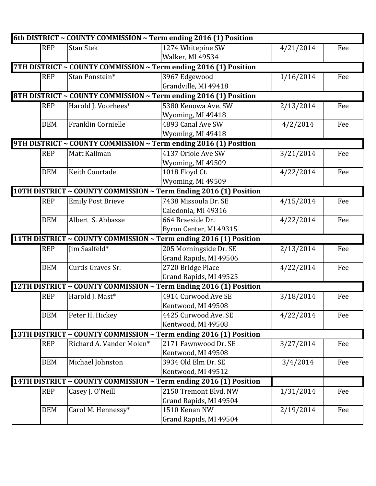|            |                          | 6th DISTRICT ~ COUNTY COMMISSION ~ Term ending 2016 (1) Position  |           |     |
|------------|--------------------------|-------------------------------------------------------------------|-----------|-----|
| <b>REP</b> | <b>Stan Stek</b>         | 1274 Whitepine SW                                                 | 4/21/2014 | Fee |
|            |                          | Walker, MI 49534                                                  |           |     |
|            |                          | 7TH DISTRICT ~ COUNTY COMMISSION ~ Term ending 2016 (1) Position  |           |     |
| <b>REP</b> | Stan Ponstein*           | 3967 Edgewood                                                     | 1/16/2014 | Fee |
|            |                          | Grandville, MI 49418                                              |           |     |
|            |                          | 8TH DISTRICT ~ COUNTY COMMISSION ~ Term ending 2016 (1) Position  |           |     |
| <b>REP</b> | Harold J. Voorhees*      | 5380 Kenowa Ave. SW                                               | 2/13/2014 | Fee |
|            |                          | Wyoming, MI 49418                                                 |           |     |
| <b>DEM</b> | Franklin Cornielle       | 4893 Canal Ave SW                                                 | 4/2/2014  | Fee |
|            |                          | Wyoming, MI 49418                                                 |           |     |
|            |                          | 9TH DISTRICT ~ COUNTY COMMISSION ~ Term ending 2016 (1) Position  |           |     |
| <b>REP</b> | Matt Kallman             | 4137 Oriole Ave SW                                                | 3/21/2014 | Fee |
|            |                          | Wyoming, MI 49509                                                 |           |     |
| <b>DEM</b> | <b>Keith Courtade</b>    | 1018 Floyd Ct.                                                    | 4/22/2014 | Fee |
|            |                          | Wyoming, MI 49509                                                 |           |     |
|            |                          | 10TH DISTRICT ~ COUNTY COMMISSION ~ Term Ending 2016 (1) Position |           |     |
| <b>REP</b> | <b>Emily Post Brieve</b> | 7438 Missoula Dr. SE                                              | 4/15/2014 | Fee |
|            |                          | Caledonia, MI 49316                                               |           |     |
| <b>DEM</b> | Albert S. Abbasse        | 664 Braeside Dr.                                                  | 4/22/2014 | Fee |
|            |                          | Byron Center, MI 49315                                            |           |     |
|            |                          | 11TH DISTRICT ~ COUNTY COMMISSION ~ Term ending 2016 (1) Position |           |     |
| <b>REP</b> | Jim Saalfeld*            | 205 Morningside Dr. SE                                            | 2/13/2014 | Fee |
|            |                          | Grand Rapids, MI 49506                                            |           |     |
| <b>DEM</b> | Curtis Graves Sr.        | 2720 Bridge Place                                                 | 4/22/2014 | Fee |
|            |                          | Grand Rapids, MI 49525                                            |           |     |
|            |                          | 12TH DISTRICT ~ COUNTY COMMISSION ~ Term Ending 2016 (1) Position |           |     |
| <b>REP</b> | Harold J. Mast*          | 4914 Curwood Ave SE                                               | 3/18/2014 | Fee |
|            |                          | Kentwood, MI 49508                                                |           |     |
| <b>DEM</b> | Peter H. Hickey          | 4425 Curwood Ave. SE                                              | 4/22/2014 | Fee |
|            |                          | Kentwood, MI 49508                                                |           |     |
|            |                          | 13TH DISTRICT ~ COUNTY COMMISSION ~ Term ending 2016 (1) Position |           |     |
| <b>REP</b> | Richard A. Vander Molen* | 2171 Fawnwood Dr. SE                                              | 3/27/2014 | Fee |
|            |                          | Kentwood, MI 49508                                                |           |     |
| <b>DEM</b> | Michael Johnston         | 3934 Old Elm Dr. SE                                               | 3/4/2014  | Fee |
|            |                          | Kentwood, MI 49512                                                |           |     |
|            |                          | 14TH DISTRICT ~ COUNTY COMMISSION ~ Term ending 2016 (1) Position |           |     |
| <b>REP</b> | Casey J. O'Neill         | 2150 Tremont Blvd. NW                                             | 1/31/2014 | Fee |
|            |                          | Grand Rapids, MI 49504                                            |           |     |
| <b>DEM</b> | Carol M. Hennessy*       | 1510 Kenan NW                                                     | 2/19/2014 | Fee |
|            |                          | Grand Rapids, MI 49504                                            |           |     |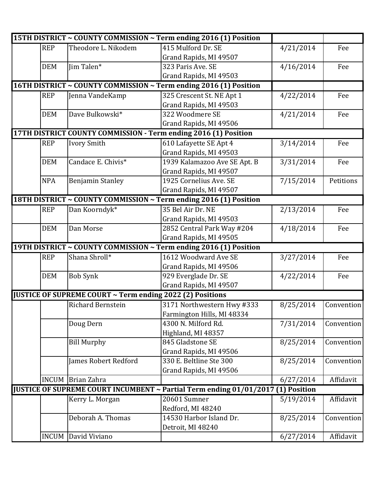|            |                                                           | 15TH DISTRICT ~ COUNTY COMMISSION ~ Term ending 2016 (1) Position                |           |            |
|------------|-----------------------------------------------------------|----------------------------------------------------------------------------------|-----------|------------|
| <b>REP</b> | Theodore L. Nikodem                                       | 415 Mulford Dr. SE                                                               | 4/21/2014 | Fee        |
|            |                                                           | Grand Rapids, MI 49507                                                           |           |            |
| <b>DEM</b> | Jim Talen*                                                | 323 Paris Ave. SE                                                                | 4/16/2014 | Fee        |
|            |                                                           | Grand Rapids, MI 49503                                                           |           |            |
|            |                                                           | 16TH DISTRICT ~ COUNTY COMMISSION ~ Term ending 2016 (1) Position                |           |            |
| <b>REP</b> | Jenna VandeKamp                                           | 325 Crescent St. NE Apt 1                                                        | 4/22/2014 | Fee        |
|            |                                                           | Grand Rapids, MI 49503                                                           |           |            |
| <b>DEM</b> | Dave Bulkowski*                                           | 322 Woodmere SE                                                                  | 4/21/2014 | Fee        |
|            |                                                           | Grand Rapids, MI 49506                                                           |           |            |
|            |                                                           | 17TH DISTRICT COUNTY COMMISSION - Term ending 2016 (1) Position                  |           |            |
| <b>REP</b> | Ivory Smith                                               | 610 Lafayette SE Apt 4                                                           | 3/14/2014 | Fee        |
|            |                                                           | Grand Rapids, MI 49503                                                           |           |            |
| <b>DEM</b> | Candace E. Chivis*                                        | 1939 Kalamazoo Ave SE Apt. B                                                     | 3/31/2014 | Fee        |
|            |                                                           | Grand Rapids, MI 49507                                                           |           |            |
| <b>NPA</b> | <b>Benjamin Stanley</b>                                   | 1925 Cornelius Ave. SE                                                           | 7/15/2014 | Petitions  |
|            |                                                           | Grand Rapids, MI 49507                                                           |           |            |
|            |                                                           | 18TH DISTRICT ~ COUNTY COMMISSION ~ Term ending 2016 (1) Position                |           |            |
| <b>REP</b> | Dan Koorndyk*                                             | 35 Bel Air Dr. NE                                                                | 2/13/2014 | Fee        |
|            |                                                           | Grand Rapids, MI 49503                                                           |           |            |
| <b>DEM</b> | Dan Morse                                                 | 2852 Central Park Way #204                                                       | 4/18/2014 | Fee        |
|            |                                                           | Grand Rapids, MI 49505                                                           |           |            |
|            |                                                           | 19TH DISTRICT ~ COUNTY COMMISSION ~ Term ending 2016 (1) Position                |           |            |
| <b>REP</b> | Shana Shroll*                                             | 1612 Woodward Ave SE                                                             | 3/27/2014 | Fee        |
|            |                                                           | Grand Rapids, MI 49506                                                           |           |            |
| <b>DEM</b> | <b>Bob Synk</b>                                           | 929 Everglade Dr. SE                                                             | 4/22/2014 | Fee        |
|            |                                                           | Grand Rapids, MI 49507                                                           |           |            |
|            | JUSTICE OF SUPREME COURT ~ Term ending 2022 (2) Positions |                                                                                  |           |            |
|            | Richard Bernstein                                         | 3171 Northwestern Hwy #333                                                       | 8/25/2014 | Convention |
|            |                                                           | Farmington Hills, MI 48334                                                       |           |            |
|            | Doug Dern                                                 | 4300 N. Milford Rd.                                                              | 7/31/2014 | Convention |
|            |                                                           | Highland, MI 48357                                                               |           |            |
|            | <b>Bill Murphy</b>                                        | 845 Gladstone SE                                                                 | 8/25/2014 | Convention |
|            |                                                           | Grand Rapids, MI 49506                                                           |           |            |
|            | James Robert Redford                                      | 330 E. Beltline Ste 300                                                          | 8/25/2014 | Convention |
|            |                                                           | Grand Rapids, MI 49506                                                           |           |            |
|            | <b>INCUM</b> Brian Zahra                                  |                                                                                  | 6/27/2014 | Affidavit  |
|            |                                                           | JUSTICE OF SUPREME COURT INCUMBENT ~ Partial Term ending 01/01/2017 (1) Position |           |            |
|            | Kerry L. Morgan                                           | 20601 Sumner                                                                     | 5/19/2014 | Affidavit  |
|            |                                                           | Redford, MI 48240                                                                |           |            |
|            | Deborah A. Thomas                                         | 14530 Harbor Island Dr.                                                          | 8/25/2014 | Convention |
|            |                                                           | Detroit, MI 48240                                                                |           |            |
|            | <b>INCUM</b> David Viviano                                |                                                                                  | 6/27/2014 | Affidavit  |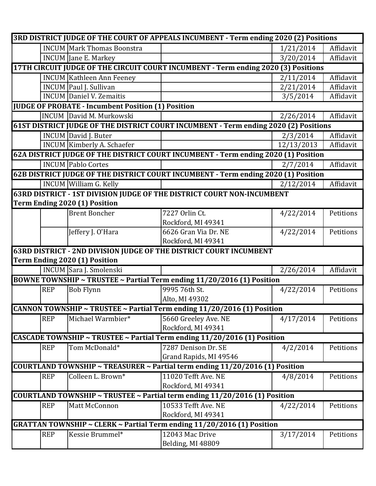|            |                                                           | 3RD DISTRICT JUDGE OF THE COURT OF APPEALS INCUMBENT - Term ending 2020 (2) Positions |            |           |
|------------|-----------------------------------------------------------|---------------------------------------------------------------------------------------|------------|-----------|
|            | <b>INCUM</b> Mark Thomas Boonstra                         |                                                                                       | 1/21/2014  | Affidavit |
|            | <b>INCUM</b> Jane E. Markey                               |                                                                                       | 3/20/2014  | Affidavit |
|            |                                                           | 17TH CIRCUIT JUDGE OF THE CIRCUIT COURT INCUMBENT - Term ending 2020 (3) Positions    |            |           |
|            | <b>INCUM</b> Kathleen Ann Feeney                          |                                                                                       | 2/11/2014  | Affidavit |
|            | INCUM Paul J. Sullivan                                    |                                                                                       | 2/21/2014  | Affidavit |
|            | <b>INCUM</b> Daniel V. Zemaitis                           |                                                                                       | 3/5/2014   | Affidavit |
|            | <b>JUDGE OF PROBATE - Incumbent Position (1) Position</b> |                                                                                       |            |           |
|            | <b>INCUM</b> David M. Murkowski                           |                                                                                       | 2/26/2014  | Affidavit |
|            |                                                           | 61ST DISTRICT JUDGE OF THE DISTRICT COURT INCUMBENT - Term ending 2020 (2) Positions  |            |           |
|            | <b>INCUM</b> David J. Buter                               |                                                                                       | 2/3/2014   | Affidavit |
|            | <b>INCUM</b> Kimberly A. Schaefer                         |                                                                                       | 12/13/2013 | Affidavit |
|            |                                                           | 62A DISTRICT JUDGE OF THE DISTRICT COURT INCUMBENT - Term ending 2020 (1) Position    |            |           |
|            | <b>INCUM Pablo Cortes</b>                                 |                                                                                       | 2/7/2014   | Affidavit |
|            |                                                           | 62B DISTRICT JUDGE OF THE DISTRICT COURT INCUMBENT - Term ending 2020 (1) Position    |            |           |
|            | <b>INCUM</b> William G. Kelly                             |                                                                                       | 2/12/2014  | Affidavit |
|            |                                                           | <b>63RD DISTRICT - 1ST DIVISION JUDGE OF THE DISTRICT COURT NON-INCUMBENT</b>         |            |           |
|            | Term Ending 2020 (1) Position                             |                                                                                       |            |           |
|            | <b>Brent Boncher</b>                                      | 7227 Orlin Ct.                                                                        | 4/22/2014  | Petitions |
|            |                                                           | Rockford, MI 49341                                                                    |            |           |
|            | Jeffery J. O'Hara                                         | 6626 Gran Via Dr. NE                                                                  | 4/22/2014  | Petitions |
|            |                                                           | Rockford, MI 49341                                                                    |            |           |
|            |                                                           | 63RD DISTRICT - 2ND DIVISION JUDGE OF THE DISTRICT COURT INCUMBENT                    |            |           |
|            | Term Ending 2020 (1) Position                             |                                                                                       |            |           |
|            | <b>INCUM Sara J. Smolenski</b>                            |                                                                                       | 2/26/2014  | Affidavit |
|            |                                                           |                                                                                       |            |           |
|            |                                                           | BOWNE TOWNSHIP ~ TRUSTEE ~ Partial Term ending 11/20/2016 (1) Position                |            |           |
| <b>REP</b> | <b>Bob Flynn</b>                                          | 9995 76th St.                                                                         | 4/22/2014  | Petitions |
|            |                                                           | Alto, MI 49302                                                                        |            |           |
|            |                                                           | CANNON TOWNSHIP ~ TRUSTEE ~ Partial Term ending 11/20/2016 (1) Position               |            |           |
| <b>REP</b> | Michael Warmbier*                                         | 5660 Greeley Ave. NE                                                                  | 4/17/2014  | Petitions |
|            |                                                           | Rockford, MI 49341                                                                    |            |           |
|            |                                                           | CASCADE TOWNSHIP ~ TRUSTEE ~ Partial Term ending 11/20/2016 (1) Position              |            |           |
| <b>REP</b> | Tom McDonald*                                             | 7287 Denison Dr. SE                                                                   | 4/2/2014   | Petitions |
|            |                                                           | Grand Rapids, MI 49546                                                                |            |           |
|            |                                                           | COURTLAND TOWNSHIP ~ TREASURER ~ Partial term ending 11/20/2016 (1) Position          |            |           |
| <b>REP</b> | Colleen L. Brown*                                         | 11020 Tefft Ave. NE                                                                   | 4/8/2014   | Petitions |
|            |                                                           | Rockford, MI 49341                                                                    |            |           |
|            |                                                           | COURTLAND TOWNSHIP ~ TRUSTEE ~ Partial term ending 11/20/2016 (1) Position            |            |           |
| <b>REP</b> | Matt McConnon                                             | 10533 Tefft Ave. NE                                                                   | 4/22/2014  | Petitions |
|            |                                                           | Rockford, MI 49341                                                                    |            |           |
|            |                                                           | <b>GRATTAN TOWNSHIP ~ CLERK ~ Partial Term ending 11/20/2016 (1) Position</b>         |            |           |
| <b>REP</b> | Kessie Brummel*                                           | 12043 Mac Drive                                                                       | 3/17/2014  | Petitions |
|            |                                                           | Belding, MI 48809                                                                     |            |           |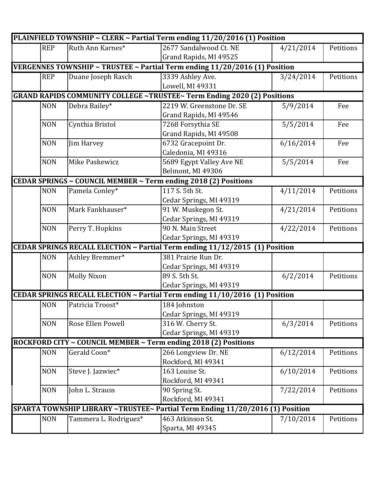|            |                       | PLAINFIELD TOWNSHIP ~ CLERK ~ Partial Term ending 11/20/2016 (1) Position      |           |           |
|------------|-----------------------|--------------------------------------------------------------------------------|-----------|-----------|
| <b>REP</b> | Ruth Ann Karnes*      | 2677 Sandalwood Ct. NE                                                         | 4/21/2014 | Petitions |
|            |                       | Grand Rapids, MI 49525                                                         |           |           |
|            |                       | VERGENNES TOWNSHIP ~ TRUSTEE ~ Partial Term ending 11/20/2016 (1) Position     |           |           |
| <b>REP</b> | Duane Joseph Rasch    | 3339 Ashley Ave.                                                               | 3/24/2014 | Petitions |
|            |                       | Lowell, MI 49331                                                               |           |           |
|            |                       | <b>GRAND RAPIDS COMMUNITY COLLEGE ~TRUSTEE~ Term Ending 2020 (2) Positions</b> |           |           |
| <b>NON</b> | Debra Bailey*         | 2219 W. Greenstone Dr. SE                                                      | 5/9/2014  | Fee       |
|            |                       | Grand Rapids, MI 49546                                                         |           |           |
| <b>NON</b> | Cynthia Bristol       | 7268 Forsythia SE                                                              | 5/5/2014  | Fee       |
|            |                       | Grand Rapids, MI 49508                                                         |           |           |
| <b>NON</b> | Jim Harvey            | 6732 Gracepoint Dr.                                                            | 6/16/2014 | Fee       |
|            |                       | Caledonia, MI 49316                                                            |           |           |
| <b>NON</b> | Mike Paskewicz        | 5689 Egypt Valley Ave NE                                                       | 5/5/2014  | Fee       |
|            |                       | Belmont, MI 49306                                                              |           |           |
|            |                       | CEDAR SPRINGS ~ COUNCIL MEMBER ~ Term ending 2018 (2) Positions                |           |           |
| <b>NON</b> | Pamela Conley*        | 117 S. 5th St.                                                                 | 4/11/2014 | Petitions |
|            |                       | Cedar Springs, MI 49319                                                        |           |           |
| <b>NON</b> | Mark Fankhauser*      | 91 W. Muskegon St.                                                             | 4/21/2014 | Petitions |
|            |                       | Cedar Springs, MI 49319                                                        |           |           |
| <b>NON</b> | Perry T. Hopkins      | 90 N. Main Street                                                              | 4/22/2014 | Petitions |
|            |                       | Cedar Springs, MI 49319                                                        |           |           |
|            |                       | CEDAR SPRINGS RECALL ELECTION ~ Partial Term ending 11/12/2015 (1) Position    |           |           |
| <b>NON</b> | Ashley Bremmer*       | 381 Prairie Run Dr.                                                            |           |           |
|            |                       | Cedar Springs, MI 49319                                                        |           |           |
| <b>NON</b> | <b>Molly Nixon</b>    | 89 S. 5th St.                                                                  | 6/2/2014  | Petitions |
|            |                       | Cedar Springs, MI 49319                                                        |           |           |
|            |                       | CEDAR SPRINGS RECALL ELECTION ~ Partial Term ending 11/10/2016 (1) Position    |           |           |
| <b>NON</b> | Patricia Troost*      | 184 Johnston                                                                   |           |           |
|            |                       | Cedar Springs, MI 49319                                                        |           |           |
| <b>NON</b> | Rose Ellen Powell     | 316 W. Cherry St.                                                              | 6/3/2014  | Petitions |
|            |                       | Cedar Springs, MI 49319                                                        |           |           |
|            |                       | ROCKFORD CITY ~ COUNCIL MEMBER ~ Term ending 2018 (2) Positions                |           |           |
| <b>NON</b> | Gerald Coon*          | 266 Longview Dr. NE                                                            | 6/12/2014 | Petitions |
|            |                       | Rockford, MI 49341                                                             |           |           |
| <b>NON</b> | Steve J. Jazwiec*     | 163 Louise St.                                                                 | 6/10/2014 | Petitions |
|            |                       | Rockford, MI 49341                                                             |           |           |
| <b>NON</b> | John L. Strauss       | 90 Spring St.                                                                  | 7/22/2014 | Petitions |
|            |                       | Rockford, MI 49341                                                             |           |           |
|            |                       | SPARTA TOWNSHIP LIBRARY ~TRUSTEE~ Partial Term Ending 11/20/2016 (1) Position  |           |           |
| <b>NON</b> | Tammera L. Rodriguez* | 463 Atkinson St.                                                               | 7/10/2014 | Petitions |
|            |                       | Sparta, MI 49345                                                               |           |           |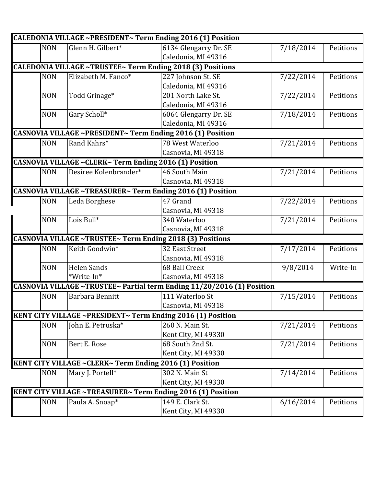|            |                                                                   | CALEDONIA VILLAGE ~PRESIDENT~ Term Ending 2016 (1) Position            |           |           |
|------------|-------------------------------------------------------------------|------------------------------------------------------------------------|-----------|-----------|
| <b>NON</b> | Glenn H. Gilbert*                                                 | 6134 Glengarry Dr. SE                                                  | 7/18/2014 | Petitions |
|            |                                                                   | Caledonia, MI 49316                                                    |           |           |
|            | <b>CALEDONIA VILLAGE ~TRUSTEE~ Term Ending 2018 (3) Positions</b> |                                                                        |           |           |
| <b>NON</b> | Elizabeth M. Fanco*                                               | 227 Johnson St. SE                                                     | 7/22/2014 | Petitions |
|            |                                                                   | Caledonia, MI 49316                                                    |           |           |
| <b>NON</b> | Todd Grinage*                                                     | 201 North Lake St.                                                     | 7/22/2014 | Petitions |
|            |                                                                   | Caledonia, MI 49316                                                    |           |           |
| <b>NON</b> | Gary Scholl*                                                      | 6064 Glengarry Dr. SE                                                  | 7/18/2014 | Petitions |
|            |                                                                   | Caledonia, MI 49316                                                    |           |           |
|            | CASNOVIA VILLAGE ~PRESIDENT~ Term Ending 2016 (1) Position        |                                                                        |           |           |
| <b>NON</b> | Rand Kahrs*                                                       | 78 West Waterloo                                                       | 7/21/2014 | Petitions |
|            |                                                                   | Casnovia, MI 49318                                                     |           |           |
|            | CASNOVIA VILLAGE ~CLERK~ Term Ending 2016 (1) Position            |                                                                        |           |           |
| <b>NON</b> | Desiree Kolenbrander*                                             | 46 South Main                                                          | 7/21/2014 | Petitions |
|            |                                                                   | Casnovia, MI 49318                                                     |           |           |
|            | <b>CASNOVIA VILLAGE ~TREASURER~ Term Ending 2016 (1) Position</b> |                                                                        |           |           |
| <b>NON</b> | Leda Borghese                                                     | 47 Grand                                                               | 7/22/2014 | Petitions |
|            |                                                                   | Casnovia, MI 49318                                                     |           |           |
| <b>NON</b> | Lois Bull*                                                        | 340 Waterloo                                                           | 7/21/2014 | Petitions |
|            |                                                                   | Casnovia, MI 49318                                                     |           |           |
|            | CASNOVIA VILLAGE ~TRUSTEE~ Term Ending 2018 (3) Positions         |                                                                        |           |           |
| <b>NON</b> | Keith Goodwin*                                                    | 32 East Street                                                         | 7/17/2014 | Petitions |
|            |                                                                   | Casnovia, MI 49318                                                     |           |           |
| <b>NON</b> | <b>Helen Sands</b>                                                | 68 Ball Creek                                                          | 9/8/2014  | Write-In  |
|            | *Write-In*                                                        | Casnovia, MI 49318                                                     |           |           |
|            |                                                                   | CASNOVIA VILLAGE ~TRUSTEE~ Partial term Ending 11/20/2016 (1) Position |           |           |
| <b>NON</b> | Barbara Bennitt                                                   | 111 Waterloo St                                                        | 7/15/2014 | Petitions |
|            |                                                                   | Casnovia, MI 49318                                                     |           |           |
|            | KENT CITY VILLAGE ~PRESIDENT~ Term Ending 2016 (1) Position       |                                                                        |           |           |
| <b>NON</b> | John E. Petruska*                                                 | 260 N. Main St.                                                        | 7/21/2014 | Petitions |
|            |                                                                   | Kent City, MI 49330                                                    |           |           |
| <b>NON</b> | Bert E. Rose                                                      | 68 South 2nd St.                                                       | 7/21/2014 | Petitions |
|            |                                                                   | Kent City, MI 49330                                                    |           |           |
|            | KENT CITY VILLAGE ~CLERK~ Term Ending 2016 (1) Position           |                                                                        |           |           |
| <b>NON</b> | Mary J. Portell*                                                  | 302 N. Main St                                                         | 7/14/2014 | Petitions |
|            |                                                                   | Kent City, MI 49330                                                    |           |           |
|            | KENT CITY VILLAGE ~TREASURER~ Term Ending 2016 (1) Position       |                                                                        |           |           |
| <b>NON</b> | Paula A. Snoap*                                                   | 149 E. Clark St.                                                       | 6/16/2014 | Petitions |
|            |                                                                   | Kent City, MI 49330                                                    |           |           |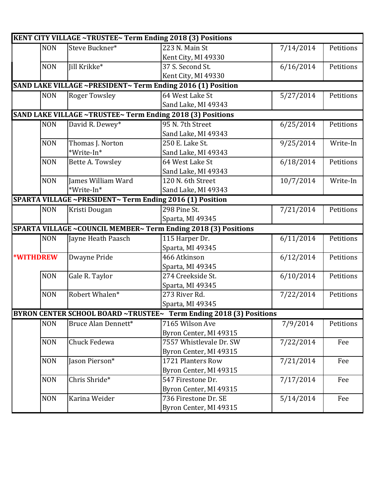|                  |            | KENT CITY VILLAGE ~TRUSTEE~ Term Ending 2018 (3) Positions |                                                                    |           |           |
|------------------|------------|------------------------------------------------------------|--------------------------------------------------------------------|-----------|-----------|
|                  | <b>NON</b> | Steve Buckner*                                             | 223 N. Main St                                                     | 7/14/2014 | Petitions |
|                  |            |                                                            | Kent City, MI 49330                                                |           |           |
|                  | <b>NON</b> | Jill Krikke*                                               | 37 S. Second St.                                                   | 6/16/2014 | Petitions |
|                  |            |                                                            | Kent City, MI 49330                                                |           |           |
|                  |            |                                                            | SAND LAKE VILLAGE ~PRESIDENT~ Term Ending 2016 (1) Position        |           |           |
|                  | <b>NON</b> | <b>Roger Towsley</b>                                       | 64 West Lake St                                                    | 5/27/2014 | Petitions |
|                  |            |                                                            | Sand Lake, MI 49343                                                |           |           |
|                  |            |                                                            | SAND LAKE VILLAGE ~TRUSTEE~ Term Ending 2018 (3) Positions         |           |           |
|                  | <b>NON</b> | David R. Dewey*                                            | 95 N. 7th Street                                                   | 6/25/2014 | Petitions |
|                  |            |                                                            | Sand Lake, MI 49343                                                |           |           |
|                  | <b>NON</b> | Thomas J. Norton                                           | 250 E. Lake St.                                                    | 9/25/2014 | Write-In  |
|                  |            | *Write-In*                                                 | Sand Lake, MI 49343                                                |           |           |
|                  | <b>NON</b> | Bette A. Towsley                                           | 64 West Lake St                                                    | 6/18/2014 | Petitions |
|                  |            |                                                            | Sand Lake, MI 49343                                                |           |           |
|                  | <b>NON</b> | James William Ward                                         | 120 N. 6th Street                                                  | 10/7/2014 | Write-In  |
|                  |            | *Write-In*                                                 | Sand Lake, MI 49343                                                |           |           |
|                  |            | SPARTA VILLAGE ~PRESIDENT~ Term Ending 2016 (1) Position   |                                                                    |           |           |
|                  | <b>NON</b> | Kristi Dougan                                              | 298 Pine St.                                                       | 7/21/2014 | Petitions |
|                  |            |                                                            | Sparta, MI 49345                                                   |           |           |
|                  |            |                                                            | SPARTA VILLAGE ~COUNCIL MEMBER~ Term Ending 2018 (3) Positions     |           |           |
|                  | <b>NON</b> | Jayne Heath Paasch                                         | 115 Harper Dr.                                                     | 6/11/2014 | Petitions |
|                  |            |                                                            | Sparta, MI 49345                                                   |           |           |
| <b>*WITHDREW</b> |            | Dwayne Pride                                               | 466 Atkinson                                                       | 6/12/2014 | Petitions |
|                  |            |                                                            | Sparta, MI 49345                                                   |           |           |
|                  | <b>NON</b> | Gale R. Taylor                                             | 274 Creekside St.                                                  | 6/10/2014 | Petitions |
|                  |            |                                                            | Sparta, MI 49345                                                   |           |           |
|                  | <b>NON</b> | Robert Whalen*                                             | 273 River Rd.                                                      | 7/22/2014 | Petitions |
|                  |            |                                                            | Sparta, MI 49345                                                   |           |           |
|                  |            |                                                            | BYRON CENTER SCHOOL BOARD ~TRUSTEE~ Term Ending 2018 (3) Positions |           |           |
|                  | <b>NON</b> | Bruce Alan Dennett*                                        | 7165 Wilson Ave                                                    | 7/9/2014  | Petitions |
|                  |            |                                                            | Byron Center, MI 49315                                             |           |           |
|                  | <b>NON</b> | Chuck Fedewa                                               | 7557 Whistlevale Dr. SW                                            | 7/22/2014 | Fee       |
|                  |            |                                                            | Byron Center, MI 49315                                             |           |           |
|                  | <b>NON</b> | Jason Pierson*                                             | 1721 Planters Row                                                  | 7/21/2014 | Fee       |
|                  |            |                                                            | Byron Center, MI 49315                                             |           |           |
|                  | <b>NON</b> | Chris Shride*                                              | 547 Firestone Dr.                                                  | 7/17/2014 | Fee       |
|                  |            |                                                            | Byron Center, MI 49315                                             |           |           |
|                  | <b>NON</b> | Karina Weider                                              | 736 Firestone Dr. SE                                               | 5/14/2014 | Fee       |
|                  |            |                                                            | Byron Center, MI 49315                                             |           |           |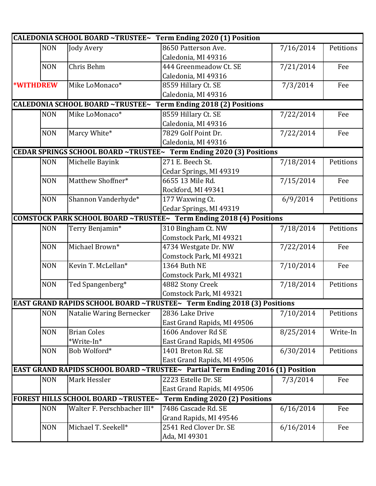|                                                                     |                                            | CALEDONIA SCHOOL BOARD ~TRUSTEE~ Term Ending 2020 (1) Position                        |           |           |  |
|---------------------------------------------------------------------|--------------------------------------------|---------------------------------------------------------------------------------------|-----------|-----------|--|
| <b>NON</b>                                                          | <b>Jody Avery</b>                          | 8650 Patterson Ave.                                                                   | 7/16/2014 | Petitions |  |
|                                                                     |                                            | Caledonia, MI 49316                                                                   |           |           |  |
| <b>NON</b>                                                          | Chris Behm                                 | 444 Greenmeadow Ct. SE                                                                | 7/21/2014 | Fee       |  |
|                                                                     |                                            | Caledonia, MI 49316                                                                   |           |           |  |
| *WITHDREW                                                           | Mike LoMonaco*                             | 8559 Hillary Ct. SE                                                                   | 7/3/2014  | Fee       |  |
|                                                                     |                                            | Caledonia, MI 49316                                                                   |           |           |  |
|                                                                     | <b>CALEDONIA SCHOOL BOARD ~TRUSTEE~</b>    | <b>Term Ending 2018 (2) Positions</b>                                                 |           |           |  |
| <b>NON</b>                                                          | Mike LoMonaco*                             | 8559 Hillary Ct. SE                                                                   | 7/22/2014 | Fee       |  |
|                                                                     |                                            | Caledonia, MI 49316                                                                   |           |           |  |
| <b>NON</b>                                                          | Marcy White*                               | 7829 Golf Point Dr.                                                                   | 7/22/2014 | Fee       |  |
|                                                                     |                                            | Caledonia, MI 49316                                                                   |           |           |  |
|                                                                     |                                            | CEDAR SPRINGS SCHOOL BOARD ~TRUSTEE~ Term Ending 2020 (3) Positions                   |           |           |  |
| <b>NON</b>                                                          | Michelle Bayink                            | 271 E. Beech St.                                                                      | 7/18/2014 | Petitions |  |
|                                                                     |                                            | Cedar Springs, MI 49319                                                               |           |           |  |
| <b>NON</b>                                                          | Matthew Shoffner*                          | 6655 13 Mile Rd.                                                                      | 7/15/2014 | Fee       |  |
|                                                                     |                                            | Rockford, MI 49341                                                                    |           |           |  |
| <b>NON</b>                                                          | Shannon Vanderhyde*                        | 177 Waxwing Ct.                                                                       | 6/9/2014  | Petitions |  |
|                                                                     |                                            | Cedar Springs, MI 49319                                                               |           |           |  |
| COMSTOCK PARK SCHOOL BOARD ~TRUSTEE~ Term Ending 2018 (4) Positions |                                            |                                                                                       |           |           |  |
| <b>NON</b>                                                          | Terry Benjamin*                            | 310 Bingham Ct. NW                                                                    | 7/18/2014 | Petitions |  |
|                                                                     |                                            | Comstock Park, MI 49321                                                               |           |           |  |
| <b>NON</b>                                                          | Michael Brown*                             | 4734 Westgate Dr. NW                                                                  | 7/22/2014 | Fee       |  |
|                                                                     |                                            | Comstock Park, MI 49321                                                               |           |           |  |
| <b>NON</b>                                                          | Kevin T. McLellan*                         | 1364 Buth NE                                                                          | 7/10/2014 | Fee       |  |
|                                                                     |                                            | Comstock Park, MI 49321                                                               |           |           |  |
| <b>NON</b>                                                          | Ted Spangenberg*                           | 4882 Stony Creek                                                                      | 7/18/2014 | Petitions |  |
|                                                                     |                                            | Comstock Park, MI 49321                                                               |           |           |  |
|                                                                     |                                            | <b>EAST GRAND RAPIDS SCHOOL BOARD ~TRUSTEE~</b> Term Ending 2018 (3) Positions        |           |           |  |
| <b>NON</b>                                                          | Natalie Waring Bernecker                   | 2836 Lake Drive                                                                       | 7/10/2014 | Petitions |  |
|                                                                     |                                            | East Grand Rapids, MI 49506                                                           |           |           |  |
| <b>NON</b>                                                          | <b>Brian Coles</b>                         | 1606 Andover Rd SE                                                                    | 8/25/2014 | Write-In  |  |
|                                                                     | *Write-In*                                 | East Grand Rapids, MI 49506                                                           |           |           |  |
| <b>NON</b>                                                          | Bob Wolford*                               | 1401 Breton Rd. SE                                                                    | 6/30/2014 | Petitions |  |
|                                                                     |                                            | East Grand Rapids, MI 49506                                                           |           |           |  |
|                                                                     |                                            | <b>EAST GRAND RAPIDS SCHOOL BOARD ~TRUSTEE~</b> Partial Term Ending 2016 (1) Position |           |           |  |
| <b>NON</b>                                                          | Mark Hessler                               | 2223 Estelle Dr. SE                                                                   | 7/3/2014  | Fee       |  |
|                                                                     |                                            | East Grand Rapids, MI 49506                                                           |           |           |  |
|                                                                     | <b>FOREST HILLS SCHOOL BOARD ~TRUSTEE~</b> | <b>Term Ending 2020 (2) Positions</b>                                                 |           |           |  |
| <b>NON</b>                                                          | Walter F. Perschbacher III*                | 7486 Cascade Rd. SE                                                                   | 6/16/2014 | Fee       |  |
|                                                                     |                                            | Grand Rapids, MI 49546                                                                |           |           |  |
| <b>NON</b>                                                          | Michael T. Seekell*                        | 2541 Red Clover Dr. SE                                                                | 6/16/2014 | Fee       |  |
|                                                                     |                                            | Ada, MI 49301                                                                         |           |           |  |
|                                                                     |                                            |                                                                                       |           |           |  |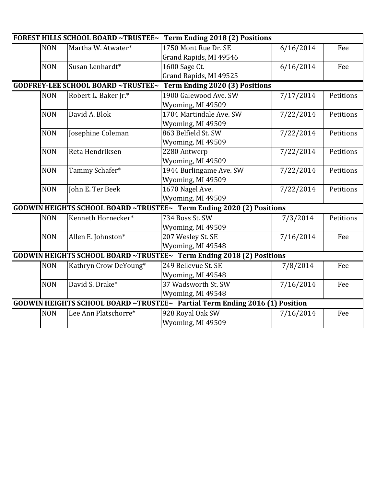|                                                                             |                                                                      |                                           | FOREST HILLS SCHOOL BOARD ~TRUSTEE~ Term Ending 2018 (2) Positions   |           |           |  |
|-----------------------------------------------------------------------------|----------------------------------------------------------------------|-------------------------------------------|----------------------------------------------------------------------|-----------|-----------|--|
|                                                                             | <b>NON</b>                                                           | Martha W. Atwater*                        | 1750 Mont Rue Dr. SE                                                 | 6/16/2014 | Fee       |  |
|                                                                             |                                                                      |                                           | Grand Rapids, MI 49546                                               |           |           |  |
|                                                                             | <b>NON</b>                                                           | Susan Lenhardt*                           | 1600 Sage Ct.                                                        | 6/16/2014 | Fee       |  |
|                                                                             |                                                                      |                                           | Grand Rapids, MI 49525                                               |           |           |  |
|                                                                             |                                                                      | <b>GODFREY-LEE SCHOOL BOARD ~TRUSTEE~</b> | <b>Term Ending 2020 (3) Positions</b>                                |           |           |  |
|                                                                             | <b>NON</b>                                                           | Robert L. Baker Jr.*                      | 1900 Galewood Ave. SW                                                | 7/17/2014 | Petitions |  |
|                                                                             |                                                                      |                                           | Wyoming, MI 49509                                                    |           |           |  |
|                                                                             | <b>NON</b>                                                           | David A. Blok                             | 1704 Martindale Ave. SW                                              | 7/22/2014 | Petitions |  |
|                                                                             |                                                                      |                                           | Wyoming, MI 49509                                                    |           |           |  |
|                                                                             | <b>NON</b>                                                           | Josephine Coleman                         | 863 Belfield St. SW                                                  | 7/22/2014 | Petitions |  |
|                                                                             |                                                                      |                                           | Wyoming, MI 49509                                                    |           |           |  |
|                                                                             | <b>NON</b>                                                           | Reta Hendriksen                           | 2280 Antwerp                                                         | 7/22/2014 | Petitions |  |
|                                                                             |                                                                      |                                           | Wyoming, MI 49509                                                    |           |           |  |
|                                                                             | <b>NON</b>                                                           | Tammy Schafer*                            | 1944 Burlingame Ave. SW                                              | 7/22/2014 | Petitions |  |
|                                                                             |                                                                      |                                           | Wyoming, MI 49509                                                    |           |           |  |
|                                                                             | <b>NON</b>                                                           | John E. Ter Beek                          | 1670 Nagel Ave.                                                      | 7/22/2014 | Petitions |  |
|                                                                             |                                                                      |                                           | Wyoming, MI 49509                                                    |           |           |  |
|                                                                             |                                                                      |                                           | GODWIN HEIGHTS SCHOOL BOARD ~TRUSTEE~ Term Ending 2020 (2) Positions |           |           |  |
|                                                                             | <b>NON</b>                                                           | Kenneth Hornecker*                        | 734 Boss St. SW                                                      | 7/3/2014  | Petitions |  |
|                                                                             |                                                                      |                                           | Wyoming, MI 49509                                                    |           |           |  |
|                                                                             | <b>NON</b>                                                           | Allen E. Johnston*                        | 207 Wesley St. SE                                                    | 7/16/2014 | Fee       |  |
|                                                                             |                                                                      |                                           | Wyoming, MI 49548                                                    |           |           |  |
|                                                                             | GODWIN HEIGHTS SCHOOL BOARD ~TRUSTEE~ Term Ending 2018 (2) Positions |                                           |                                                                      |           |           |  |
|                                                                             | <b>NON</b>                                                           | Kathryn Crow DeYoung*                     | 249 Bellevue St. SE                                                  | 7/8/2014  | Fee       |  |
|                                                                             |                                                                      |                                           | Wyoming, MI 49548                                                    |           |           |  |
|                                                                             | <b>NON</b>                                                           | David S. Drake*                           | 37 Wadsworth St. SW                                                  | 7/16/2014 | Fee       |  |
|                                                                             |                                                                      |                                           | Wyoming, MI 49548                                                    |           |           |  |
| GODWIN HEIGHTS SCHOOL BOARD ~TRUSTEE~ Partial Term Ending 2016 (1) Position |                                                                      |                                           |                                                                      |           |           |  |
|                                                                             | <b>NON</b>                                                           | Lee Ann Platschorre*                      | 928 Royal Oak SW                                                     | 7/16/2014 | Fee       |  |
|                                                                             |                                                                      |                                           | Wyoming, MI 49509                                                    |           |           |  |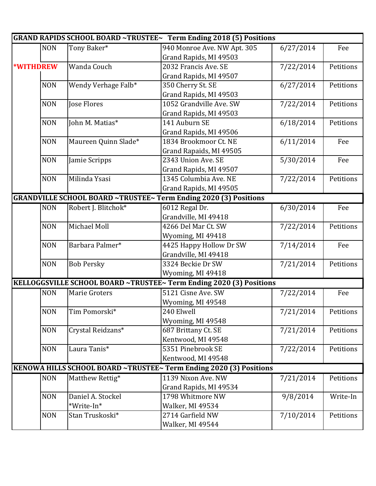|                  |                      | GRAND RAPIDS SCHOOL BOARD ~TRUSTEE~ Term Ending 2018 (5) Positions      |           |           |
|------------------|----------------------|-------------------------------------------------------------------------|-----------|-----------|
| <b>NON</b>       | Tony Baker*          | 940 Monroe Ave. NW Apt. 305                                             | 6/27/2014 | Fee       |
|                  |                      | Grand Rapids, MI 49503                                                  |           |           |
| <b>*WITHDREW</b> | Wanda Couch          | 2032 Francis Ave. SE                                                    | 7/22/2014 | Petitions |
|                  |                      | Grand Rapids, MI 49507                                                  |           |           |
| <b>NON</b>       | Wendy Verhage Falb*  | 350 Cherry St. SE                                                       | 6/27/2014 | Petitions |
|                  |                      | Grand Rapids, MI 49503                                                  |           |           |
| <b>NON</b>       | Jose Flores          | 1052 Grandville Ave, SW                                                 | 7/22/2014 | Petitions |
|                  |                      | Grand Rapids, MI 49503                                                  |           |           |
| <b>NON</b>       | John M. Matias*      | 141 Auburn SE                                                           | 6/18/2014 | Petitions |
|                  |                      | Grand Rapids, MI 49506                                                  |           |           |
| <b>NON</b>       | Maureen Quinn Slade* | 1834 Brookmoor Ct. NE                                                   | 6/11/2014 | Fee       |
|                  |                      | Grand Rapaids, MI 49505                                                 |           |           |
| <b>NON</b>       | Jamie Scripps        | 2343 Union Ave. SE                                                      | 5/30/2014 | Fee       |
|                  |                      | Grand Rapids, MI 49507                                                  |           |           |
| <b>NON</b>       | Milinda Ysasi        | 1345 Columbia Ave. NE                                                   | 7/22/2014 | Petitions |
|                  |                      | Grand Rapids, MI 49505                                                  |           |           |
|                  |                      | <b>GRANDVILLE SCHOOL BOARD ~TRUSTEE~ Term Ending 2020 (3) Positions</b> |           |           |
| <b>NON</b>       | Robert J. Blitchok*  | 6012 Regal Dr.                                                          | 6/30/2014 | Fee       |
|                  |                      | Grandville, MI 49418                                                    |           |           |
| <b>NON</b>       | Michael Moll         | 4266 Del Mar Ct. SW                                                     | 7/22/2014 | Petitions |
|                  |                      | Wyoming, MI 49418                                                       |           |           |
| <b>NON</b>       | Barbara Palmer*      | 4425 Happy Hollow Dr SW                                                 | 7/14/2014 | Fee       |
|                  |                      | Grandville, MI 49418                                                    |           |           |
| <b>NON</b>       | <b>Bob Persky</b>    | 3324 Beckie Dr SW                                                       | 7/21/2014 | Petitions |
|                  |                      | Wyoming, MI 49418                                                       |           |           |
|                  |                      | KELLOGGSVILLE SCHOOL BOARD ~TRUSTEE~ Term Ending 2020 (3) Positions     |           |           |
| <b>NON</b>       | <b>Marie Groters</b> | 5121 Cisne Ave. SW                                                      | 7/22/2014 | Fee       |
|                  |                      | Wyoming, MI 49548                                                       |           |           |
| <b>NON</b>       | Tim Pomorski*        | 240 Elwell                                                              | 7/21/2014 | Petitions |
|                  |                      | Wyoming, MI 49548                                                       |           |           |
| <b>NON</b>       | Crystal Reidzans*    | 687 Brittany Ct. SE                                                     | 7/21/2014 | Petitions |
|                  |                      | Kentwood, MI 49548                                                      |           |           |
| <b>NON</b>       | Laura Tanis*         | 5351 Pinebrook SE                                                       | 7/22/2014 | Petitions |
|                  |                      | Kentwood, MI 49548                                                      |           |           |
|                  |                      | KENOWA HILLS SCHOOL BOARD ~TRUSTEE~ Term Ending 2020 (3) Positions      |           |           |
| <b>NON</b>       | Matthew Rettig*      | 1139 Nixon Ave. NW                                                      | 7/21/2014 | Petitions |
|                  |                      | Grand Rapids, MI 49534                                                  |           |           |
| <b>NON</b>       | Daniel A. Stockel    | 1798 Whitmore NW                                                        | 9/8/2014  | Write-In  |
|                  | *Write-In*           | Walker, MI 49534                                                        |           |           |
| <b>NON</b>       | Stan Truskoski*      | 2714 Garfield NW                                                        | 7/10/2014 | Petitions |
|                  |                      | Walker, MI 49544                                                        |           |           |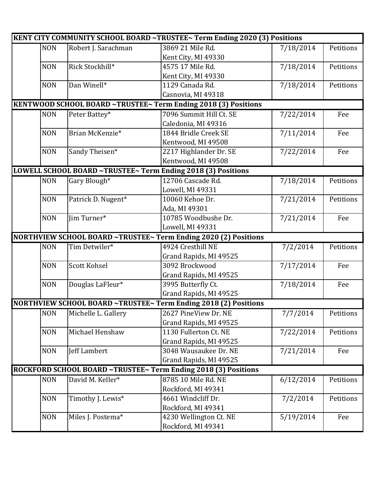|            |                     | <b>KENT CITY COMMUNITY SCHOOL BOARD ~TRUSTEE~ Term Ending 2020 (3) Positions</b> |           |           |
|------------|---------------------|----------------------------------------------------------------------------------|-----------|-----------|
| <b>NON</b> | Robert J. Sarachman | 3869 21 Mile Rd.                                                                 | 7/18/2014 | Petitions |
|            |                     | Kent City, MI 49330                                                              |           |           |
| <b>NON</b> | Rick Stockhill*     | 4575 17 Mile Rd.                                                                 | 7/18/2014 | Petitions |
|            |                     | Kent City, MI 49330                                                              |           |           |
| <b>NON</b> | Dan Winell*         | 1129 Canada Rd.                                                                  | 7/18/2014 | Petitions |
|            |                     | Casnovia, MI 49318                                                               |           |           |
|            |                     | KENTWOOD SCHOOL BOARD ~TRUSTEE~ Term Ending 2018 (3) Positions                   |           |           |
| <b>NON</b> | Peter Battey*       | 7096 Summit Hill Ct. SE                                                          | 7/22/2014 | Fee       |
|            |                     | Caledonia, MI 49316                                                              |           |           |
| <b>NON</b> | Brian McKenzie*     | 1844 Bridle Creek SE                                                             | 7/11/2014 | Fee       |
|            |                     | Kentwood, MI 49508                                                               |           |           |
| <b>NON</b> | Sandy Theisen*      | 2217 Highlander Dr. SE                                                           | 7/22/2014 | Fee       |
|            |                     | Kentwood, MI 49508                                                               |           |           |
|            |                     | LOWELL SCHOOL BOARD ~TRUSTEE~ Term Ending 2018 (3) Positions                     |           |           |
| <b>NON</b> | Gary Blough*        | 12706 Cascade Rd.                                                                | 7/18/2014 | Petitions |
|            |                     | Lowell, MI 49331                                                                 |           |           |
| <b>NON</b> | Patrick D. Nugent*  | 10060 Kehoe Dr.                                                                  | 7/21/2014 | Petitions |
|            |                     | Ada, MI 49301                                                                    |           |           |
| <b>NON</b> | Jim Turner*         | 10785 Woodbushe Dr.                                                              | 7/21/2014 | Fee       |
|            |                     | Lowell, MI 49331                                                                 |           |           |
|            |                     | NORTHVIEW SCHOOL BOARD ~TRUSTEE~ Term Ending 2020 (2) Positions                  |           |           |
| <b>NON</b> | Tim Detwiler*       | 4924 Cresthill NE                                                                | 7/2/2014  | Petitions |
|            |                     | Grand Rapids, MI 49525                                                           |           |           |
| <b>NON</b> | <b>Scott Kohsel</b> | 3092 Brockwood                                                                   | 7/17/2014 | Fee       |
|            |                     | Grand Rapids, MI 49525                                                           |           |           |
| <b>NON</b> | Douglas LaFleur*    | 3995 Butterfly Ct.                                                               | 7/18/2014 | Fee       |
|            |                     | Grand Rapids, MI 49525                                                           |           |           |
|            |                     | NORTHVIEW SCHOOL BOARD ~TRUSTEE~ Term Ending 2018 (2) Positions                  |           |           |
| <b>NON</b> | Michelle L. Gallery | 2627 PineView Dr. NE                                                             | 7/7/2014  | Petitions |
|            |                     | Grand Rapids, MI 49525                                                           |           |           |
| <b>NON</b> | Michael Henshaw     | 1130 Fullerton Ct. NE                                                            | 7/22/2014 | Petitions |
|            |                     | Grand Rapids, MI 49525                                                           |           |           |
| <b>NON</b> | Jeff Lambert        | 3048 Wausaukee Dr. NE                                                            | 7/21/2014 | Fee       |
|            |                     | Grand Rapids, MI 49525                                                           |           |           |
|            |                     | ROCKFORD SCHOOL BOARD ~TRUSTEE~ Term Ending 2018 (3) Positions                   |           |           |
| <b>NON</b> | David M. Keller*    | 8785 10 Mile Rd. NE                                                              | 6/12/2014 | Petitions |
|            |                     | Rockford, MI 49341                                                               |           |           |
| <b>NON</b> | Timothy J. Lewis*   | 4661 Windcliff Dr.                                                               | 7/2/2014  | Petitions |
|            |                     | Rockford, MI 49341                                                               |           |           |
| <b>NON</b> | Miles J. Postema*   | 4230 Wellington Ct. NE                                                           | 5/19/2014 | Fee       |
|            |                     | Rockford, MI 49341                                                               |           |           |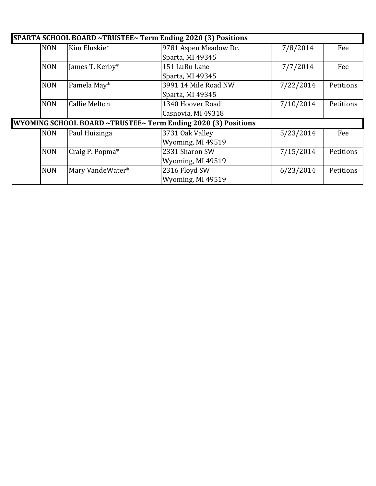| SPARTA SCHOOL BOARD ~TRUSTEE~ Term Ending 2020 (3) Positions  |            |                      |                       |           |           |  |
|---------------------------------------------------------------|------------|----------------------|-----------------------|-----------|-----------|--|
|                                                               | <b>NON</b> | Kim Eluskie*         | 9781 Aspen Meadow Dr. | 7/8/2014  | Fee       |  |
|                                                               |            |                      | Sparta, MI 49345      |           |           |  |
|                                                               | <b>NON</b> | James T. Kerby*      | 151 LuRu Lane         | 7/7/2014  | Fee       |  |
|                                                               |            |                      | Sparta, MI 49345      |           |           |  |
|                                                               | <b>NON</b> | Pamela May*          | 3991 14 Mile Road NW  | 7/22/2014 | Petitions |  |
|                                                               |            |                      | Sparta, MI 49345      |           |           |  |
|                                                               | <b>NON</b> | <b>Callie Melton</b> | 1340 Hoover Road      | 7/10/2014 | Petitions |  |
|                                                               |            |                      | Casnovia, MI 49318    |           |           |  |
| WYOMING SCHOOL BOARD ~TRUSTEE~ Term Ending 2020 (3) Positions |            |                      |                       |           |           |  |
|                                                               | <b>NON</b> | Paul Huizinga        | 3731 Oak Valley       | 5/23/2014 | Fee       |  |
|                                                               |            |                      | Wyoming, MI 49519     |           |           |  |
|                                                               | <b>NON</b> | Craig P. Popma*      | 2331 Sharon SW        | 7/15/2014 | Petitions |  |
|                                                               |            |                      | Wyoming, MI 49519     |           |           |  |
|                                                               | <b>NON</b> | Mary VandeWater*     | 2316 Floyd SW         | 6/23/2014 | Petitions |  |
|                                                               |            |                      | Wyoming, MI 49519     |           |           |  |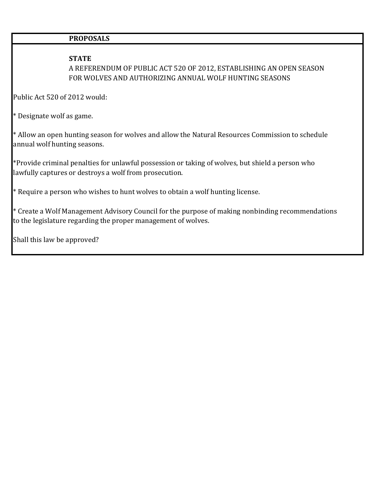#### **PROPOSALS**

#### **STATE**

A REFERENDUM OF PUBLIC ACT 520 OF 2012, ESTABLISHING AN OPEN SEASON FOR WOLVES AND AUTHORIZING ANNUAL WOLF HUNTING SEASONS

Public Act 520 of 2012 would:

\* Designate wolf as game.

\* Allow an open hunting season for wolves and allow the Natural Resources Commission to schedule annual wolf hunting seasons.

\*Provide criminal penalties for unlawful possession or taking of wolves, but shield a person who lawfully captures or destroys a wolf from prosecution.

 $*$  Require a person who wishes to hunt wolves to obtain a wolf hunting license.

\* Create a Wolf Management Advisory Council for the purpose of making nonbinding recommendations to the legislature regarding the proper management of wolves.

Shall this law be approved?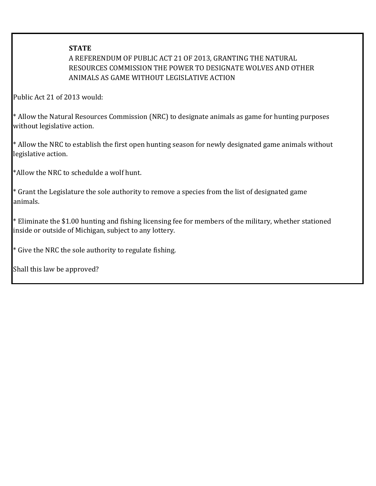#### **STATE**

### A REFERENDUM OF PUBLIC ACT 21 OF 2013, GRANTING THE NATURAL RESOURCES COMMISSION THE POWER TO DESIGNATE WOLVES AND OTHER ANIMALS AS GAME WITHOUT LEGISLATIVE ACTION

Public Act 21 of 2013 would:

\* Allow the Natural Resources Commission (NRC) to designate animals as game for hunting purposes without legislative action.

\* Allow the NRC to establish the first open hunting season for newly designated game animals without legislative action.

\*Allow the NRC to schedulde a wolf hunt.

\* Grant the Legislature the sole authority to remove a species from the list of designated game animals.

 $*$  Eliminate the \$1.00 hunting and fishing licensing fee for members of the military, whether stationed inside or outside of Michigan, subject to any lottery.

\* Give the NRC the sole authority to regulate fishing.

Shall this law be approved?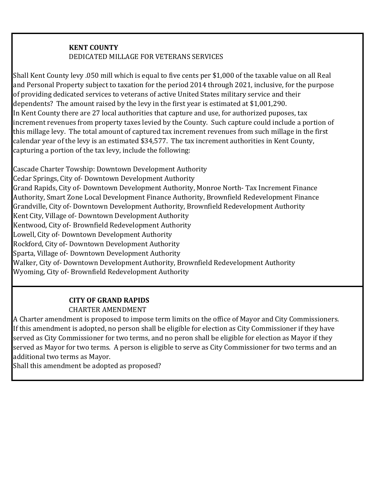#### **KENT COUNTY** DEDICATED MILLAGE FOR VETERANS SERVICES

Shall Kent County levy .050 mill which is equal to five cents per \$1,000 of the taxable value on all Real and Personal Property subject to taxation for the period 2014 through 2021, inclusive, for the purpose of providing dedicated services to veterans of active United States military service and their dependents? The amount raised by the levy in the first year is estimated at \$1,001,290. In Kent County there are 27 local authorities that capture and use, for authorized puposes, tax increment revenues from property taxes levied by the County. Such capture could include a portion of this millage levy. The total amount of captured tax increment revenues from such millage in the first calendar year of the levy is an estimated \$34,577. The tax increment authorities in Kent County, capturing a portion of the tax levy, include the following:

Cascade Charter Towship: Downtown Development Authority Cedar Springs, City of- Downtown Development Authority Grand Rapids, City of- Downtown Development Authority, Monroe North- Tax Increment Finance Authority, Smart Zone Local Development Finance Authority, Brownfield Redevelopment Finance Grandville, City of- Downtown Development Authority, Brownfield Redevelopment Authority Kent City, Village of- Downtown Development Authority Kentwood, City of- Brownfield Redevelopment Authority Lowell, City of- Downtown Development Authority Rockford, City of- Downtown Development Authority Sparta, Village of- Downtown Development Authority Walker, City of- Downtown Development Authority, Brownfield Redevelopment Authority Wyoming, City of- Brownfield Redevelopment Authority

#### **CITY OF GRAND RAPIDS** CHARTER AMENDMENT

A Charter amendment is proposed to impose term limits on the office of Mayor and City Commissioners. If this amendment is adopted, no person shall be eligible for election as City Commissioner if they have served as City Commissioner for two terms, and no peron shall be eligible for election as Mayor if they served as Mayor for two terms. A person is eligible to serve as City Commissioner for two terms and an additional two terms as Mayor.

Shall this amendment be adopted as proposed?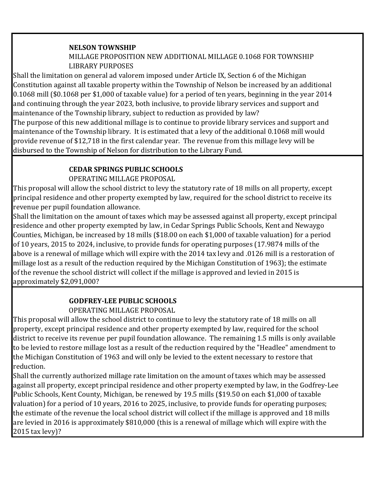#### **NELSON TOWNSHIP**

#### MILLAGE PROPOSITION NEW ADDITIONAL MILLAGE 0.1068 FOR TOWNSHIP LIBRARY PURPOSES

Shall the limitation on general ad valorem imposed under Article IX, Section 6 of the Michigan Constitution against all taxable property within the Township of Nelson be increased by an additional 0.1068 mill (\$0.1068 per \$1,000 of taxable value) for a period of ten years, beginning in the year 2014 and continuing through the year 2023, both inclusive, to provide library services and support and maintenance of the Township library, subject to reduction as provided by law?

The purpose of this new additional millage is to continue to provide library services and support and maintenance of the Township library. It is estimated that a levy of the additional 0.1068 mill would provide revenue of \$12,718 in the first calendar year. The revenue from this millage levy will be disbursed to the Township of Nelson for distribution to the Library Fund.

### **CEDAR SPRINGS PUBLIC SCHOOLS**

OPERATING MILLAGE PROPOSAL

This proposal will allow the school district to levy the statutory rate of 18 mills on all property, except principal residence and other property exempted by law, required for the school district to receive its revenue per pupil foundation allowance.

Shall the limitation on the amount of taxes which may be assessed against all property, except principal residence and other property exempted by law, in Cedar Springs Public Schools, Kent and Newaygo Counties, Michigan, be increased by 18 mills (\$18.00 on each \$1,000 of taxable valuation) for a period of 10 years, 2015 to 2024, inclusive, to provide funds for operating purposes (17.9874 mills of the above is a renewal of millage which will expire with the 2014 tax levy and .0126 mill is a restoration of millage lost as a result of the reduction required by the Michigan Constitution of 1963); the estimate of the revenue the school district will collect if the millage is approved and levied in 2015 is approximately \$2,091,000?

### **GODFREY-LEE PUBLIC SCHOOLS**

### OPERATING MILLAGE PROPOSAL

This proposal will allow the school district to continue to levy the statutory rate of 18 mills on all property, except principal residence and other property exempted by law, required for the school district to receive its revenue per pupil foundation allowance. The remaining 1.5 mills is only available to be levied to restore millage lost as a result of the reduction required by the "Headlee" amendment to the Michigan Constitution of 1963 and will only be levied to the extent necessary to restore that reduction.

Shall the currently authorized millage rate limitation on the amount of taxes which may be assessed against all property, except principal residence and other property exempted by law, in the Godfrey-Lee Public Schools, Kent County, Michigan, be renewed by 19.5 mills (\$19.50 on each \$1,000 of taxable valuation) for a period of 10 years, 2016 to 2025, inclusive, to provide funds for operating purposes; the estimate of the revenue the local school district will collect if the millage is approved and 18 mills are levied in 2016 is approximately \$810,000 (this is a renewal of millage which will expire with the 2015 tax levy)?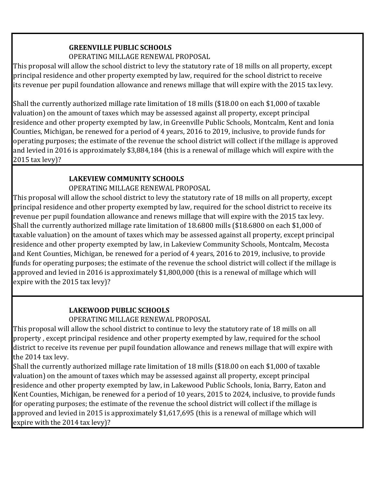#### **GREENVILLE PUBLIC SCHOOLS**

#### OPERATING MILLAGE RENEWAL PROPOSAL

This proposal will allow the school district to levy the statutory rate of 18 mills on all property, except principal residence and other property exempted by law, required for the school district to receive its revenue per pupil foundation allowance and renews millage that will expire with the 2015 tax levy.

Shall the currently authorized millage rate limitation of 18 mills (\$18.00 on each \$1,000 of taxable valuation) on the amount of taxes which may be assessed against all property, except principal residence and other property exempted by law, in Greenville Public Schools, Montcalm, Kent and Ionia Counties, Michigan, be renewed for a period of 4 years, 2016 to 2019, inclusive, to provide funds for operating purposes; the estimate of the revenue the school district will collect if the millage is approved and levied in 2016 is approximately \$3,884,184 (this is a renewal of millage which will expire with the 2015 tax levy)?

### **LAKEVIEW COMMUNITY SCHOOLS**

### OPERATING MILLAGE RENEWAL PROPOSAL

This proposal will allow the school district to levy the statutory rate of 18 mills on all property, except principal residence and other property exempted by law, required for the school district to receive its revenue per pupil foundation allowance and renews millage that will expire with the 2015 tax levy. Shall the currently authorized millage rate limitation of 18.6800 mills (\$18.6800 on each \$1,000 of taxable valuation) on the amount of taxes which may be assessed against all property, except principal residence and other property exempted by law, in Lakeview Community Schools, Montcalm, Mecosta and Kent Counties, Michigan, be renewed for a period of 4 years, 2016 to 2019, inclusive, to provide funds for operating purposes; the estimate of the revenue the school district will collect if the millage is approved and levied in 2016 is approximately \$1,800,000 (this is a renewal of millage which will expire with the 2015 tax levy)?

### **LAKEWOOD PUBLIC SCHOOLS**

OPERATING MILLAGE RENEWAL PROPOSAL

This proposal will allow the school district to continue to levy the statutory rate of 18 mills on all property , except principal residence and other property exempted by law, required for the school district to receive its revenue per pupil foundation allowance and renews millage that will expire with the 2014 tax levy.

Shall the currently authorized millage rate limitation of 18 mills (\$18.00 on each \$1,000 of taxable valuation) on the amount of taxes which may be assessed against all property, except principal residence and other property exempted by law, in Lakewood Public Schools, Ionia, Barry, Eaton and Kent Counties, Michigan, be renewed for a period of 10 years, 2015 to 2024, inclusive, to provide funds for operating purposes; the estimate of the revenue the school district will collect if the millage is approved and levied in 2015 is approximately \$1,617,695 (this is a renewal of millage which will expire with the 2014 tax levy)?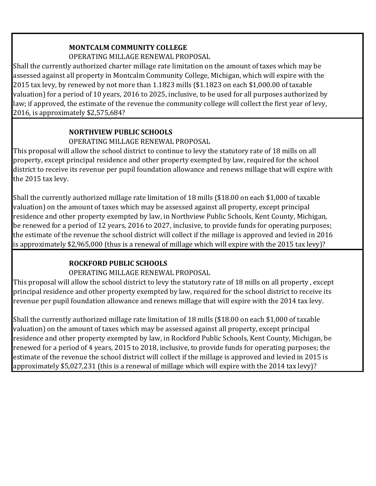# **MONTCALM COMMUNITY COLLEGE**

OPERATING MILLAGE RENEWAL PROPOSAL

Shall the currently authorized charter millage rate limitation on the amount of taxes which may be assessed against all property in Montcalm Community College, Michigan, which will expire with the 2015 tax levy, by renewed by not more than 1.1823 mills (\$1.1823 on each \$1,000.00 of taxable valuation) for a period of 10 years, 2016 to 2025, inclusive, to be used for all purposes authorized by law; if approved, the estimate of the revenue the community college will collect the first year of levy, 2016, is approximately \$2,575,684?

### **NORTHVIEW PUBLIC SCHOOLS**

### OPERATING MILLAGE RENEWAL PROPOSAL

This proposal will allow the school district to continue to levy the statutory rate of 18 mills on all property, except principal residence and other property exempted by law, required for the school district to receive its revenue per pupil foundation allowance and renews millage that will expire with the 2015 tax levy.

Shall the currently authorized millage rate limitation of 18 mills (\$18.00 on each \$1,000 of taxable valuation) on the amount of taxes which may be assessed against all property, except principal residence and other property exempted by law, in Northview Public Schools, Kent County, Michigan, be renewed for a period of 12 years, 2016 to 2027, inclusive, to provide funds for operating purposes; the estimate of the revenue the school district will collect if the millage is approved and levied in 2016 is approximately \$2,965,000 (thus is a renewal of millage which will expire with the 2015 tax levy)?

## **ROCKFORD PUBLIC SCHOOLS**

## OPERATING MILLAGE RENEWAL PROPOSAL

This proposal will allow the school district to levy the statutory rate of 18 mills on all property , except principal residence and other property exempted by law, required for the school district to receive its revenue per pupil foundation allowance and renews millage that will expire with the 2014 tax levy.

Shall the currently authorized millage rate limitation of 18 mills (\$18.00 on each \$1,000 of taxable valuation) on the amount of taxes which may be assessed against all property, except principal residence and other property exempted by law, in Rockford Public Schools, Kent County, Michigan, be renewed for a period of 4 years, 2015 to 2018, inclusive, to provide funds for operating purposes; the estimate of the revenue the school district will collect if the millage is approved and levied in 2015 is approximately \$5,027,231 (this is a renewal of millage which will expire with the 2014 tax levy)?